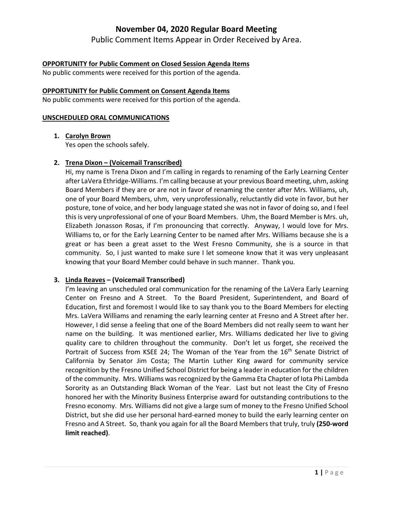Public Comment Items Appear in Order Received by Area.

# **OPPORTUNITY for Public Comment on Closed Session Agenda Items**

No public comments were received for this portion of the agenda.

#### **OPPORTUNITY for Public Comment on Consent Agenda Items**

No public comments were received for this portion of the agenda.

#### **UNSCHEDULED ORAL COMMUNICATIONS**

**1. Carolyn Brown**

Yes open the schools safely.

# **2. Trena Dixon – (Voicemail Transcribed)**

Hi, my name is Trena Dixon and I'm calling in regards to renaming of the Early Learning Center after LaVera Ethridge‐Williams. I'm calling because at your previous Board meeting, uhm, asking Board Members if they are or are not in favor of renaming the center after Mrs. Williams, uh, one of your Board Members, uhm, very unprofessionally, reluctantly did vote in favor, but her posture, tone of voice, and her body language stated she was not in favor of doing so, and I feel this is very unprofessional of one of your Board Members. Uhm, the Board Member is Mrs. uh, Elizabeth Jonasson Rosas, if I'm pronouncing that correctly. Anyway, I would love for Mrs. Williams to, or for the Early Learning Center to be named after Mrs. Williams because she is a great or has been a great asset to the West Fresno Community, she is a source in that community. So, I just wanted to make sure I let someone know that it was very unpleasant knowing that your Board Member could behave in such manner. Thank you.

# **3. Linda Reaves – (Voicemail Transcribed)**

I'm leaving an unscheduled oral communication for the renaming of the LaVera Early Learning Center on Fresno and A Street. To the Board President, Superintendent, and Board of Education, first and foremost I would like to say thank you to the Board Members for electing Mrs. LaVera Williams and renaming the early learning center at Fresno and A Street after her. However, I did sense a feeling that one of the Board Members did not really seem to want her name on the building. It was mentioned earlier, Mrs. Williams dedicated her live to giving quality care to children throughout the community. Don't let us forget, she received the Portrait of Success from KSEE 24; The Woman of the Year from the 16<sup>th</sup> Senate District of California by Senator Jim Costa; The Martin Luther King award for community service recognition by the Fresno Unified School District for being a leader in education for the children of the community. Mrs. Williams wasrecognized by the Gamma Eta Chapter of Iota Phi Lambda Sorority as an Outstanding Black Woman of the Year. Last but not least the City of Fresno honored her with the Minority Business Enterprise award for outstanding contributions to the Fresno economy. Mrs. Williams did not give a large sum of money to the Fresno Unified School District, but she did use her personal hard‐earned money to build the early learning center on Fresno and A Street. So, thank you again for all the Board Members that truly, truly **(250‐word limit reached)**.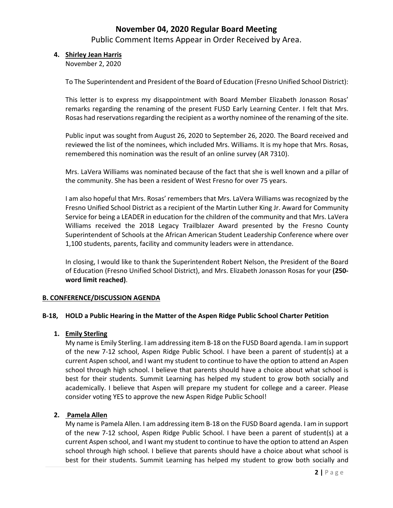Public Comment Items Appear in Order Received by Area.

# **4. Shirley Jean Harris**

November 2, 2020

To The Superintendent and President of the Board of Education (Fresno Unified School District):

This letter is to express my disappointment with Board Member Elizabeth Jonasson Rosas' remarks regarding the renaming of the present FUSD Early Learning Center. I felt that Mrs. Rosas had reservations regarding the recipient as a worthy nominee of the renaming of the site.

Public input was sought from August 26, 2020 to September 26, 2020. The Board received and reviewed the list of the nominees, which included Mrs. Williams. It is my hope that Mrs. Rosas, remembered this nomination was the result of an online survey (AR 7310).

Mrs. LaVera Williams was nominated because of the fact that she is well known and a pillar of the community. She has been a resident of West Fresno for over 75 years.

I am also hopeful that Mrs. Rosas' remembers that Mrs. LaVera Williams was recognized by the Fresno Unified School District as a recipient of the Martin Luther King Jr. Award for Community Service for being a LEADER in education for the children of the community and that Mrs. LaVera Williams received the 2018 Legacy Trailblazer Award presented by the Fresno County Superintendent of Schools at the African American Student Leadership Conference where over 1,100 students, parents, facility and community leaders were in attendance.

In closing, I would like to thank the Superintendent Robert Nelson, the President of the Board of Education (Fresno Unified School District), and Mrs. Elizabeth Jonasson Rosas for your **(250‐ word limit reached)**.

# **B. CONFERENCE/DISCUSSION AGENDA**

#### **B‐18, HOLD a Public Hearing in the Matter of the Aspen Ridge Public School Charter Petition**

#### **1. Emily Sterling**

My name is Emily Sterling. I am addressing item B‐18 on the FUSD Board agenda. I am in support of the new 7‐12 school, Aspen Ridge Public School. I have been a parent of student(s) at a current Aspen school, and I want my student to continue to have the option to attend an Aspen school through high school. I believe that parents should have a choice about what school is best for their students. Summit Learning has helped my student to grow both socially and academically. I believe that Aspen will prepare my student for college and a career. Please consider voting YES to approve the new Aspen Ridge Public School!

# **2. Pamela Allen**

My name is Pamela Allen. I am addressing item B‐18 on the FUSD Board agenda. I am in support of the new 7‐12 school, Aspen Ridge Public School. I have been a parent of student(s) at a current Aspen school, and I want my student to continue to have the option to attend an Aspen school through high school. I believe that parents should have a choice about what school is best for their students. Summit Learning has helped my student to grow both socially and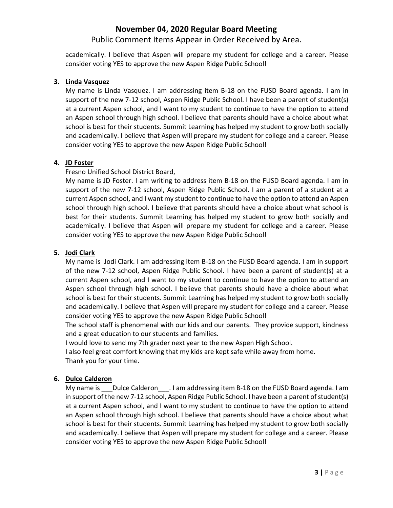# Public Comment Items Appear in Order Received by Area.

academically. I believe that Aspen will prepare my student for college and a career. Please consider voting YES to approve the new Aspen Ridge Public School!

#### **3. Linda Vasquez**

My name is Linda Vasquez. I am addressing item B-18 on the FUSD Board agenda. I am in support of the new 7-12 school, Aspen Ridge Public School. I have been a parent of student(s) at a current Aspen school, and I want to my student to continue to have the option to attend an Aspen school through high school. I believe that parents should have a choice about what school is best for their students. Summit Learning has helped my student to grow both socially and academically. I believe that Aspen will prepare my student for college and a career. Please consider voting YES to approve the new Aspen Ridge Public School!

#### **4. JD Foster**

Fresno Unified School District Board,

My name is JD Foster. I am writing to address item B‐18 on the FUSD Board agenda. I am in support of the new 7-12 school, Aspen Ridge Public School. I am a parent of a student at a current Aspen school, and I want my student to continue to have the option to attend an Aspen school through high school. I believe that parents should have a choice about what school is best for their students. Summit Learning has helped my student to grow both socially and academically. I believe that Aspen will prepare my student for college and a career. Please consider voting YES to approve the new Aspen Ridge Public School!

# **5. Jodi Clark**

My name is Jodi Clark. I am addressing item B‐18 on the FUSD Board agenda. I am in support of the new 7‐12 school, Aspen Ridge Public School. I have been a parent of student(s) at a current Aspen school, and I want to my student to continue to have the option to attend an Aspen school through high school. I believe that parents should have a choice about what school is best for their students. Summit Learning has helped my student to grow both socially and academically. I believe that Aspen will prepare my student for college and a career. Please consider voting YES to approve the new Aspen Ridge Public School!

The school staff is phenomenal with our kids and our parents. They provide support, kindness and a great education to our students and families.

I would love to send my 7th grader next year to the new Aspen High School.

I also feel great comfort knowing that my kids are kept safe while away from home. Thank you for your time.

# **6. Dulce Calderon**

My name is \_\_\_Dulce Calderon \_\_\_. I am addressing item B-18 on the FUSD Board agenda. I am in support of the new 7-12 school, Aspen Ridge Public School. I have been a parent of student(s) at a current Aspen school, and I want to my student to continue to have the option to attend an Aspen school through high school. I believe that parents should have a choice about what school is best for their students. Summit Learning has helped my student to grow both socially and academically. I believe that Aspen will prepare my student for college and a career. Please consider voting YES to approve the new Aspen Ridge Public School!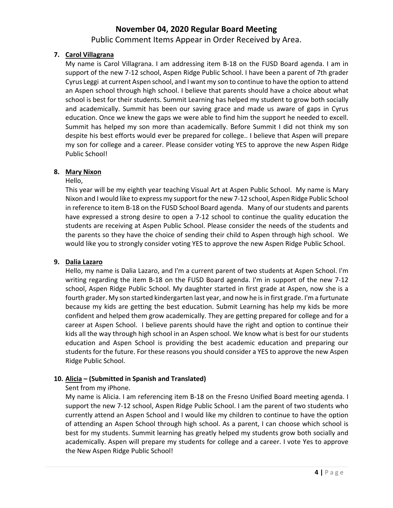Public Comment Items Appear in Order Received by Area.

# **7. Carol Villagrana**

My name is Carol Villagrana. I am addressing item B‐18 on the FUSD Board agenda. I am in support of the new 7‐12 school, Aspen Ridge Public School. I have been a parent of 7th grader Cyrus Leggi at current Aspen school, and I want my son to continue to have the option to attend an Aspen school through high school. I believe that parents should have a choice about what school is best for their students. Summit Learning has helped my student to grow both socially and academically. Summit has been our saving grace and made us aware of gaps in Cyrus education. Once we knew the gaps we were able to find him the support he needed to excell. Summit has helped my son more than academically. Before Summit I did not think my son despite his best efforts would ever be prepared for college.. I believe that Aspen will prepare my son for college and a career. Please consider voting YES to approve the new Aspen Ridge Public School!

# **8. Mary Nixon**

# Hello,

This year will be my eighth year teaching Visual Art at Aspen Public School. My name is Mary Nixon and I would like to express my support forthe new 7‐12 school, Aspen Ridge Public School in reference to item B-18 on the FUSD School Board agenda. Many of our students and parents have expressed a strong desire to open a 7‐12 school to continue the quality education the students are receiving at Aspen Public School. Please consider the needs of the students and the parents so they have the choice of sending their child to Aspen through high school. We would like you to strongly consider voting YES to approve the new Aspen Ridge Public School.

# **9. Dalia Lazaro**

Hello, my name is Dalia Lazaro, and I'm a current parent of two students at Aspen School. I'm writing regarding the item B-18 on the FUSD Board agenda. I'm in support of the new 7-12 school, Aspen Ridge Public School. My daughter started in first grade at Aspen, now she is a fourth grader. My son started kindergarten last year, and now he isin first grade. I'm a furtunate because my kids are getting the best education. Submit Learning has help my kids be more confident and helped them grow academically. They are getting prepared for college and for a career at Aspen School. I believe parents should have the right and option to continue their kids all the way through high school in an Aspen school. We know what is best for our students education and Aspen School is providing the best academic education and preparing our students for the future. For these reasons you should consider a YES to approve the new Aspen Ridge Public School.

# **10. Alicia – (Submitted in Spanish and Translated)**

# Sent from my iPhone.

My name is Alicia. I am referencing item B-18 on the Fresno Unified Board meeting agenda. I support the new 7‐12 school, Aspen Ridge Public School. I am the parent of two students who currently attend an Aspen School and I would like my children to continue to have the option of attending an Aspen School through high school. As a parent, I can choose which school is best for my students. Summit learning has greatly helped my students grow both socially and academically. Aspen will prepare my students for college and a career. I vote Yes to approve the New Aspen Ridge Public School!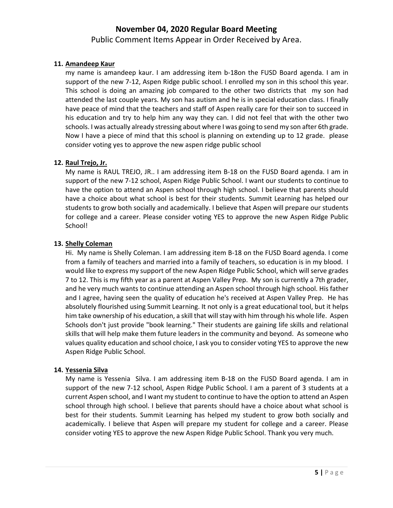Public Comment Items Appear in Order Received by Area.

# **11. Amandeep Kaur**

my name is amandeep kaur. I am addressing item b‐18on the FUSD Board agenda. I am in support of the new 7-12, Aspen Ridge public school. I enrolled my son in this school this year. This school is doing an amazing job compared to the other two districts that my son had attended the last couple years. My son has autism and he is in special education class. I finally have peace of mind that the teachers and staff of Aspen really care for their son to succeed in his education and try to help him any way they can. I did not feel that with the other two schools. I was actually already stressing about where I was going to send my son after 6th grade. Now I have a piece of mind that this school is planning on extending up to 12 grade. please consider voting yes to approve the new aspen ridge public school

# **12. Raul Trejo, Jr.**

My name is RAUL TREJO, JR.. I am addressing item B‐18 on the FUSD Board agenda. I am in support of the new 7‐12 school, Aspen Ridge Public School. I want our students to continue to have the option to attend an Aspen school through high school. I believe that parents should have a choice about what school is best for their students. Summit Learning has helped our students to grow both socially and academically. I believe that Aspen will prepare our students for college and a career. Please consider voting YES to approve the new Aspen Ridge Public School!

# **13. Shelly Coleman**

Hi. My name is Shelly Coleman. I am addressing item B-18 on the FUSD Board agenda. I come from a family of teachers and married into a family of teachers, so education is in my blood. I would like to express my support of the new Aspen Ridge Public School, which will serve grades 7 to 12. This is my fifth year as a parent at Aspen Valley Prep. My son is currently a 7th grader, and he very much wants to continue attending an Aspen school through high school. His father and I agree, having seen the quality of education he's received at Aspen Valley Prep. He has absolutely flourished using Summit Learning. It not only is a great educational tool, but it helps him take ownership of his education, a skill that will stay with him through his whole life. Aspen Schools don't just provide "book learning." Their students are gaining life skills and relational skills that will help make them future leaders in the community and beyond. As someone who values quality education and school choice, I ask you to consider voting YES to approve the new Aspen Ridge Public School.

# **14. Yessenia Silva**

My name is Yessenia Silva. I am addressing item B-18 on the FUSD Board agenda. I am in support of the new 7-12 school, Aspen Ridge Public School. I am a parent of 3 students at a current Aspen school, and I want my student to continue to have the option to attend an Aspen school through high school. I believe that parents should have a choice about what school is best for their students. Summit Learning has helped my student to grow both socially and academically. I believe that Aspen will prepare my student for college and a career. Please consider voting YES to approve the new Aspen Ridge Public School. Thank you very much.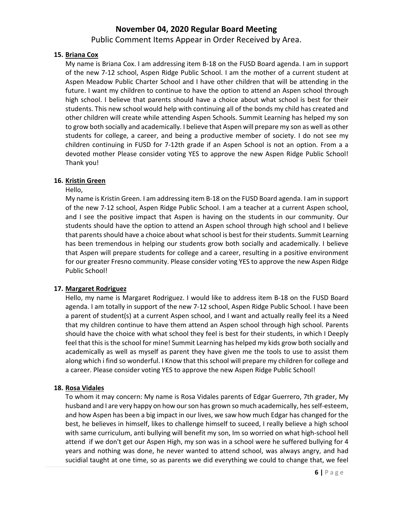Public Comment Items Appear in Order Received by Area.

# **15. Briana Cox**

My name is Briana Cox. I am addressing item B‐18 on the FUSD Board agenda. I am in support of the new 7‐12 school, Aspen Ridge Public School. I am the mother of a current student at Aspen Meadow Public Charter School and I have other children that will be attending in the future. I want my children to continue to have the option to attend an Aspen school through high school. I believe that parents should have a choice about what school is best for their students. This new school would help with continuing all of the bonds my child has created and other children will create while attending Aspen Schools. Summit Learning has helped my son to grow both socially and academically. I believe that Aspen will prepare my son as well as other students for college, a career, and being a productive member of society. I do not see my children continuing in FUSD for 7‐12th grade if an Aspen School is not an option. From a a devoted mother Please consider voting YES to approve the new Aspen Ridge Public School! Thank you!

#### **16. Kristin Green**

Hello,

My name is Kristin Green. I am addressing item B‐18 on the FUSD Board agenda. I am in support of the new 7‐12 school, Aspen Ridge Public School. I am a teacher at a current Aspen school, and I see the positive impact that Aspen is having on the students in our community. Our students should have the option to attend an Aspen school through high school and I believe that parents should have a choice about what school is best for their students. Summit Learning has been tremendous in helping our students grow both socially and academically. I believe that Aspen will prepare students for college and a career, resulting in a positive environment for our greater Fresno community. Please consider voting YES to approve the new Aspen Ridge Public School!

# **17. Margaret Rodriguez**

Hello, my name is Margaret Rodriguez. I would like to address item B-18 on the FUSD Board agenda. I am totally in support of the new 7-12 school, Aspen Ridge Public School. I have been a parent of student(s) at a current Aspen school, and I want and actually really feel its a Need that my children continue to have them attend an Aspen school through high school. Parents should have the choice with what school they feel is best for their students, in which I Deeply feel that this isthe school for mine! Summit Learning has helped my kids grow both socially and academically as well as myself as parent they have given me the tools to use to assist them along which i find so wonderful. I Know that this school will prepare my children for college and a career. Please consider voting YES to approve the new Aspen Ridge Public School!

# **18. Rosa Vidales**

To whom it may concern: My name is Rosa Vidales parents of Edgar Guerrero, 7th grader, My husband and I are very happy on how our son has grown so much academically, hes self-esteem, and how Aspen has been a big impact in our lives, we saw how much Edgar has changed for the best, he believes in himself, likes to challenge himself to suceed, I really believe a high school with same curriculum, anti bullying will benefit my son, Im so worried on what high‐school hell attend if we don't get our Aspen High, my son was in a school were he suffered bullying for 4 years and nothing was done, he never wanted to attend school, was always angry, and had sucidial taught at one time, so as parents we did everything we could to change that, we feel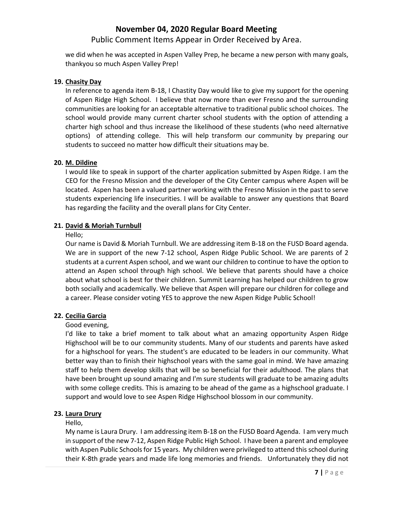Public Comment Items Appear in Order Received by Area.

we did when he was accepted in Aspen Valley Prep, he became a new person with many goals, thankyou so much Aspen Valley Prep!

#### **19. Chasity Day**

In reference to agenda item B‐18, I Chastity Day would like to give my support for the opening of Aspen Ridge High School. I believe that now more than ever Fresno and the surrounding communities are looking for an acceptable alternative to traditional public school choices. The school would provide many current charter school students with the option of attending a charter high school and thus increase the likelihood of these students (who need alternative options) of attending college. This will help transform our community by preparing our students to succeed no matter how difficult their situations may be.

#### **20. M. Dildine**

I would like to speak in support of the charter application submitted by Aspen Ridge. I am the CEO for the Fresno Mission and the developer of the City Center campus where Aspen will be located. Aspen has been a valued partner working with the Fresno Mission in the past to serve students experiencing life insecurities. I will be available to answer any questions that Board has regarding the facility and the overall plans for City Center.

# **21. David & Moriah Turnbull**

#### Hello;

Our name is David & Moriah Turnbull. We are addressing item B‐18 on the FUSD Board agenda. We are in support of the new 7-12 school, Aspen Ridge Public School. We are parents of 2 students at a current Aspen school, and we want our children to continue to have the option to attend an Aspen school through high school. We believe that parents should have a choice about what school is best for their children. Summit Learning has helped our children to grow both socially and academically. We believe that Aspen will prepare our children for college and a career. Please consider voting YES to approve the new Aspen Ridge Public School!

# **22. Cecilia Garcia**

#### Good evening,

I'd like to take a brief moment to talk about what an amazing opportunity Aspen Ridge Highschool will be to our community students. Many of our students and parents have asked for a highschool for years. The student's are educated to be leaders in our community. What better way than to finish their highschool years with the same goal in mind. We have amazing staff to help them develop skills that will be so beneficial for their adulthood. The plans that have been brought up sound amazing and I'm sure students will graduate to be amazing adults with some college credits. This is amazing to be ahead of the game as a highschool graduate. I support and would love to see Aspen Ridge Highschool blossom in our community.

# **23. Laura Drury**

# Hello,

My name is Laura Drury. I am addressing item B‐18 on the FUSD Board Agenda. I am very much in support of the new 7‐12, Aspen Ridge Public High School. I have been a parent and employee with Aspen Public Schools for 15 years. My children were privileged to attend this school during their K‐8th grade years and made life long memories and friends. Unfortunately they did not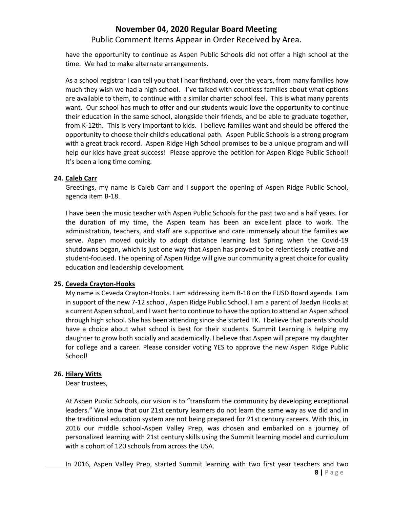Public Comment Items Appear in Order Received by Area.

have the opportunity to continue as Aspen Public Schools did not offer a high school at the time. We had to make alternate arrangements.

As a school registrar I can tell you that I hear firsthand, over the years, from many families how much they wish we had a high school. I've talked with countless families about what options are available to them, to continue with a similar charter school feel. This is what many parents want. Our school has much to offer and our students would love the opportunity to continue their education in the same school, alongside their friends, and be able to graduate together, from K‐12th. This is very important to kids. I believe families want and should be offered the opportunity to choose their child's educational path. Aspen Public Schools is a strong program with a great track record. Aspen Ridge High School promises to be a unique program and will help our kids have great success! Please approve the petition for Aspen Ridge Public School! It's been a long time coming.

# **24. Caleb Carr**

Greetings, my name is Caleb Carr and I support the opening of Aspen Ridge Public School, agenda item B‐18.

I have been the music teacher with Aspen Public Schools for the past two and a half years. For the duration of my time, the Aspen team has been an excellent place to work. The administration, teachers, and staff are supportive and care immensely about the families we serve. Aspen moved quickly to adopt distance learning last Spring when the Covid‐19 shutdowns began, which is just one way that Aspen has proved to be relentlessly creative and student‐focused. The opening of Aspen Ridge will give our community a great choice for quality education and leadership development.

# **25. Ceveda Crayton‐Hooks**

My name is Ceveda Crayton‐Hooks. I am addressing item B‐18 on the FUSD Board agenda. I am in support of the new 7‐12 school, Aspen Ridge Public School. I am a parent of Jaedyn Hooks at a current Aspen school, and I want her to continue to have the option to attend an Aspen school through high school. She has been attending since she started TK. I believe that parents should have a choice about what school is best for their students. Summit Learning is helping my daughter to grow both socially and academically. I believe that Aspen will prepare my daughter for college and a career. Please consider voting YES to approve the new Aspen Ridge Public School!

# **26. Hilary Witts**

Dear trustees,

At Aspen Public Schools, our vision is to "transform the community by developing exceptional leaders." We know that our 21st century learners do not learn the same way as we did and in the traditional education system are not being prepared for 21st century careers. With this, in 2016 our middle school‐Aspen Valley Prep, was chosen and embarked on a journey of personalized learning with 21st century skills using the Summit learning model and curriculum with a cohort of 120 schools from across the USA.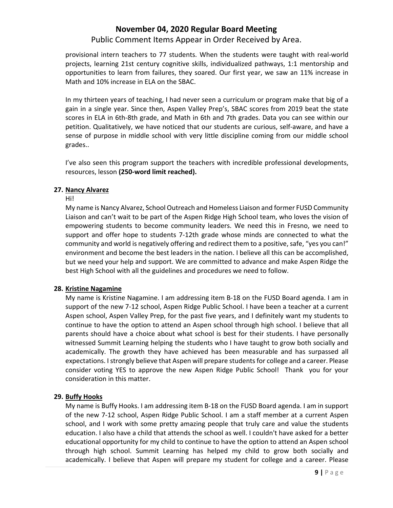# Public Comment Items Appear in Order Received by Area.

provisional intern teachers to 77 students. When the students were taught with real‐world projects, learning 21st century cognitive skills, individualized pathways, 1:1 mentorship and opportunities to learn from failures, they soared. Our first year, we saw an 11% increase in Math and 10% increase in ELA on the SBAC.

In my thirteen years of teaching, I had never seen a curriculum or program make that big of a gain in a single year. Since then, Aspen Valley Prep's, SBAC scores from 2019 beat the state scores in ELA in 6th‐8th grade, and Math in 6th and 7th grades. Data you can see within our petition. Qualitatively, we have noticed that our students are curious, self-aware, and have a sense of purpose in middle school with very little discipline coming from our middle school grades..

I've also seen this program support the teachers with incredible professional developments, resources, lesson **(250‐word limit reached).**

#### **27. Nancy Alvarez**

#### Hi!

My name is Nancy Alvarez, School Outreach and Homeless Liaison and former FUSD Community Liaison and can't wait to be part of the Aspen Ridge High School team, who loves the vision of empowering students to become community leaders. We need this in Fresno, we need to support and offer hope to students 7‐12th grade whose minds are connected to what the community and world is negatively offering and redirect them to a positive, safe, "yes you can!" environment and become the best leaders in the nation. I believe all this can be accomplished, but we need your help and support. We are committed to advance and make Aspen Ridge the best High School with all the guidelines and procedures we need to follow.

# **28. Kristine Nagamine**

My name is Kristine Nagamine. I am addressing item B‐18 on the FUSD Board agenda. I am in support of the new 7-12 school, Aspen Ridge Public School. I have been a teacher at a current Aspen school, Aspen Valley Prep, for the past five years, and I definitely want my students to continue to have the option to attend an Aspen school through high school. I believe that all parents should have a choice about what school is best for their students. I have personally witnessed Summit Learning helping the students who I have taught to grow both socially and academically. The growth they have achieved has been measurable and has surpassed all expectations. I strongly believe that Aspen will prepare students for college and a career. Please consider voting YES to approve the new Aspen Ridge Public School! Thank you for your consideration in this matter.

# **29. Buffy Hooks**

My name is Buffy Hooks. I am addressing item B‐18 on the FUSD Board agenda. I am in support of the new 7‐12 school, Aspen Ridge Public School. I am a staff member at a current Aspen school, and I work with some pretty amazing people that truly care and value the students education. I also have a child that attends the school as well. I couldn't have asked for a better educational opportunity for my child to continue to have the option to attend an Aspen school through high school. Summit Learning has helped my child to grow both socially and academically. I believe that Aspen will prepare my student for college and a career. Please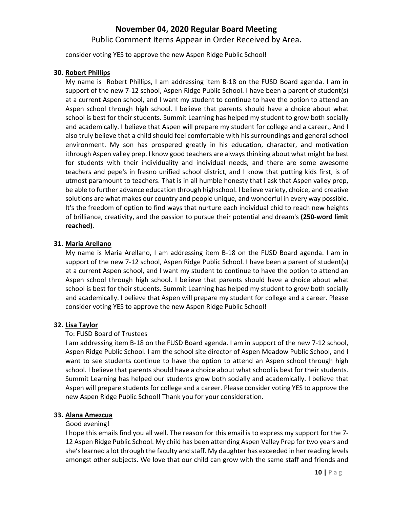Public Comment Items Appear in Order Received by Area.

consider voting YES to approve the new Aspen Ridge Public School!

## **30. Robert Phillips**

My name is Robert Phillips, I am addressing item B‐18 on the FUSD Board agenda. I am in support of the new 7-12 school, Aspen Ridge Public School. I have been a parent of student(s) at a current Aspen school, and I want my student to continue to have the option to attend an Aspen school through high school. I believe that parents should have a choice about what school is best for their students. Summit Learning has helped my student to grow both socially and academically. I believe that Aspen will prepare my student for college and a career., And I also truly believe that a child should feel comfortable with his surroundings and general school environment. My son has prospered greatly in his education, character, and motivation ithrough Aspen valley prep. I know good teachers are alwaysthinking about what might be best for students with their individuality and individual needs, and there are some awesome teachers and pepe's in fresno unified school district, and I know that putting kids first, is of utmost paramount to teachers. That is in all humble honesty that I ask that Aspen valley prep, be able to further advance education through highschool. I believe variety, choice, and creative solutions are what makes our country and people unique, and wonderful in every way possible. It's the freedom of option to find ways that nurture each individual chid to reach new heights of brilliance, creativity, and the passion to pursue their potential and dream's **(250‐word limit reached)**.

#### **31. Maria Arellano**

My name is Maria Arellano, I am addressing item B‐18 on the FUSD Board agenda. I am in support of the new 7-12 school, Aspen Ridge Public School. I have been a parent of student(s) at a current Aspen school, and I want my student to continue to have the option to attend an Aspen school through high school. I believe that parents should have a choice about what school is best for their students. Summit Learning has helped my student to grow both socially and academically. I believe that Aspen will prepare my student for college and a career. Please consider voting YES to approve the new Aspen Ridge Public School!

# **32. Lisa Taylor**

# To: FUSD Board of Trustees

I am addressing item B‐18 on the FUSD Board agenda. I am in support of the new 7‐12 school, Aspen Ridge Public School. I am the school site director of Aspen Meadow Public School, and I want to see students continue to have the option to attend an Aspen school through high school. I believe that parents should have a choice about what school is best for their students. Summit Learning has helped our students grow both socially and academically. I believe that Aspen will prepare students for college and a career. Please consider voting YES to approve the new Aspen Ridge Public School! Thank you for your consideration.

# **33. Alana Amezcua**

#### Good evening!

I hope this emails find you all well. The reason for this email is to express my support for the 7‐ 12 Aspen Ridge Public School. My child has been attending Aspen Valley Prep for two years and she'slearned a lot through the faculty and staff. My daughter has exceeded in her reading levels amongst other subjects. We love that our child can grow with the same staff and friends and